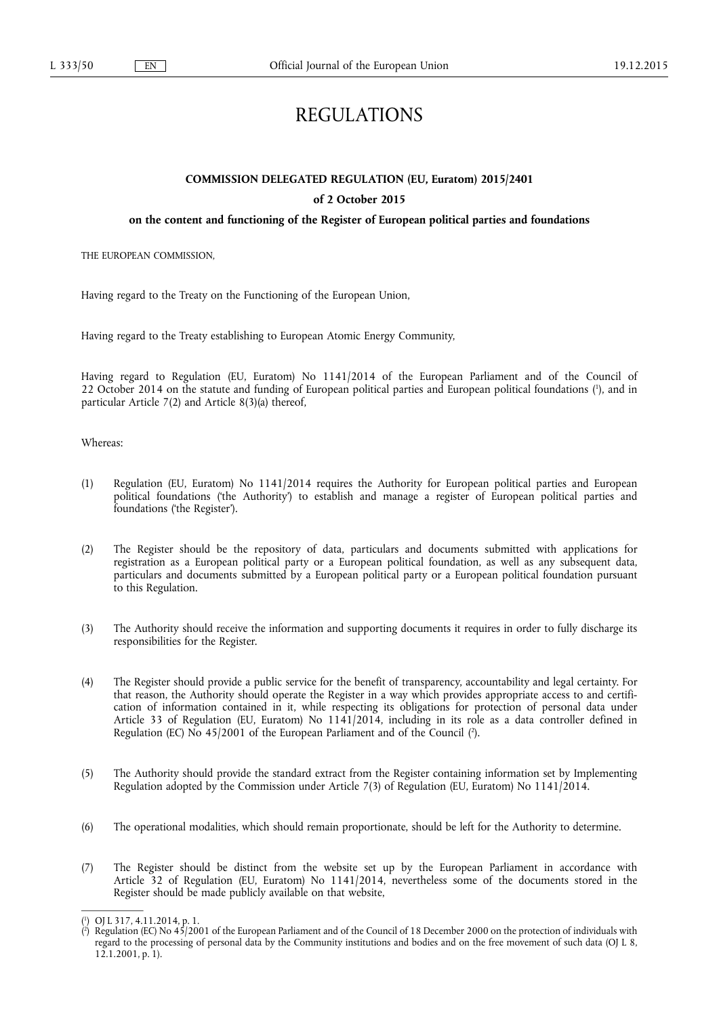# REGULATIONS

## **COMMISSION DELEGATED REGULATION (EU, Euratom) 2015/2401**

## **of 2 October 2015**

## **on the content and functioning of the Register of European political parties and foundations**

THE EUROPEAN COMMISSION,

Having regard to the Treaty on the Functioning of the European Union,

Having regard to the Treaty establishing to European Atomic Energy Community,

Having regard to Regulation (EU, Euratom) No 1141/2014 of the European Parliament and of the Council of 22 October 2014 on the statute and funding of European political parties and European political foundations (<sup>1</sup>), and in particular Article 7(2) and Article 8(3)(a) thereof,

Whereas:

- (1) Regulation (EU, Euratom) No 1141/2014 requires the Authority for European political parties and European political foundations ('the Authority') to establish and manage a register of European political parties and foundations ('the Register').
- (2) The Register should be the repository of data, particulars and documents submitted with applications for registration as a European political party or a European political foundation, as well as any subsequent data, particulars and documents submitted by a European political party or a European political foundation pursuant to this Regulation.
- (3) The Authority should receive the information and supporting documents it requires in order to fully discharge its responsibilities for the Register.
- (4) The Register should provide a public service for the benefit of transparency, accountability and legal certainty. For that reason, the Authority should operate the Register in a way which provides appropriate access to and certification of information contained in it, while respecting its obligations for protection of personal data under Article 33 of Regulation (EU, Euratom) No 1141/2014, including in its role as a data controller defined in Regulation (EC) No 45/2001 of the European Parliament and of the Council ( 2 ).
- (5) The Authority should provide the standard extract from the Register containing information set by Implementing Regulation adopted by the Commission under Article 7(3) of Regulation (EU, Euratom) No 1141/2014.
- (6) The operational modalities, which should remain proportionate, should be left for the Authority to determine.
- (7) The Register should be distinct from the website set up by the European Parliament in accordance with Article 32 of Regulation (EU, Euratom) No 1141/2014, nevertheless some of the documents stored in the Register should be made publicly available on that website,

<sup>(</sup> 1 ) OJ L 317, 4.11.2014, p. 1.

<sup>(</sup> 2 ) Regulation (EC) No 45/2001 of the European Parliament and of the Council of 18 December 2000 on the protection of individuals with regard to the processing of personal data by the Community institutions and bodies and on the free movement of such data (OJ L 8, 12.1.2001, p. 1).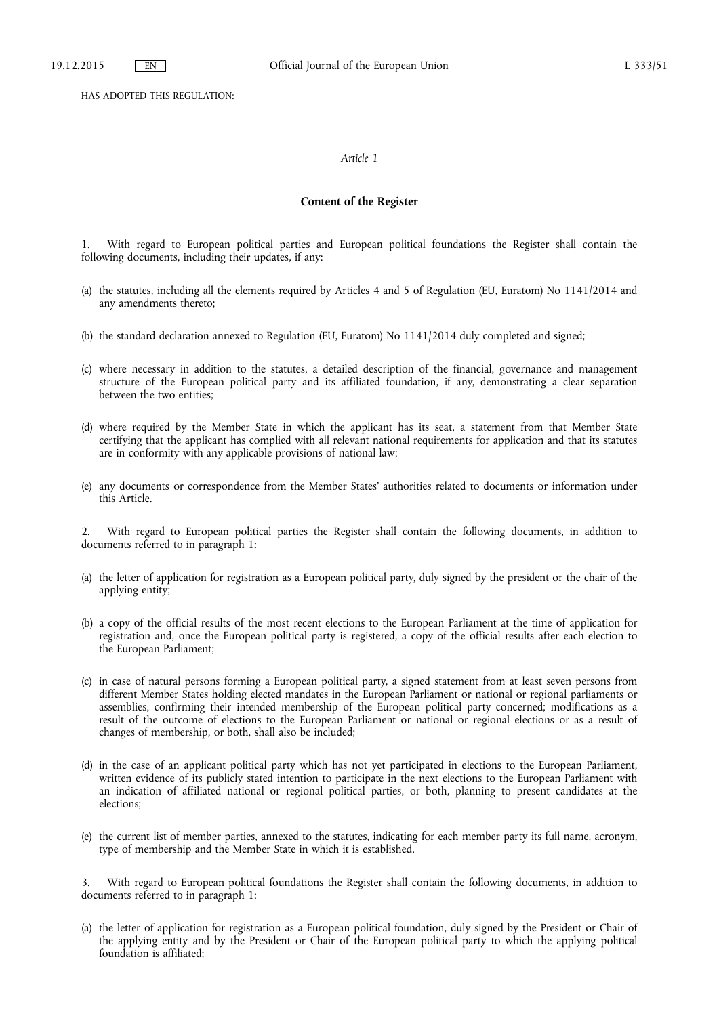HAS ADOPTED THIS REGULATION:

### *Article 1*

### **Content of the Register**

1. With regard to European political parties and European political foundations the Register shall contain the following documents, including their updates, if any:

- (a) the statutes, including all the elements required by Articles 4 and 5 of Regulation (EU, Euratom) No 1141/2014 and any amendments thereto;
- (b) the standard declaration annexed to Regulation (EU, Euratom) No 1141/2014 duly completed and signed;
- (c) where necessary in addition to the statutes, a detailed description of the financial, governance and management structure of the European political party and its affiliated foundation, if any, demonstrating a clear separation between the two entities;
- (d) where required by the Member State in which the applicant has its seat, a statement from that Member State certifying that the applicant has complied with all relevant national requirements for application and that its statutes are in conformity with any applicable provisions of national law;
- (e) any documents or correspondence from the Member States' authorities related to documents or information under this Article.

2. With regard to European political parties the Register shall contain the following documents, in addition to documents referred to in paragraph 1:

- (a) the letter of application for registration as a European political party, duly signed by the president or the chair of the applying entity;
- (b) a copy of the official results of the most recent elections to the European Parliament at the time of application for registration and, once the European political party is registered, a copy of the official results after each election to the European Parliament;
- (c) in case of natural persons forming a European political party, a signed statement from at least seven persons from different Member States holding elected mandates in the European Parliament or national or regional parliaments or assemblies, confirming their intended membership of the European political party concerned; modifications as a result of the outcome of elections to the European Parliament or national or regional elections or as a result of changes of membership, or both, shall also be included;
- (d) in the case of an applicant political party which has not yet participated in elections to the European Parliament, written evidence of its publicly stated intention to participate in the next elections to the European Parliament with an indication of affiliated national or regional political parties, or both, planning to present candidates at the elections;
- (e) the current list of member parties, annexed to the statutes, indicating for each member party its full name, acronym, type of membership and the Member State in which it is established.

3. With regard to European political foundations the Register shall contain the following documents, in addition to documents referred to in paragraph 1:

(a) the letter of application for registration as a European political foundation, duly signed by the President or Chair of the applying entity and by the President or Chair of the European political party to which the applying political foundation is affiliated;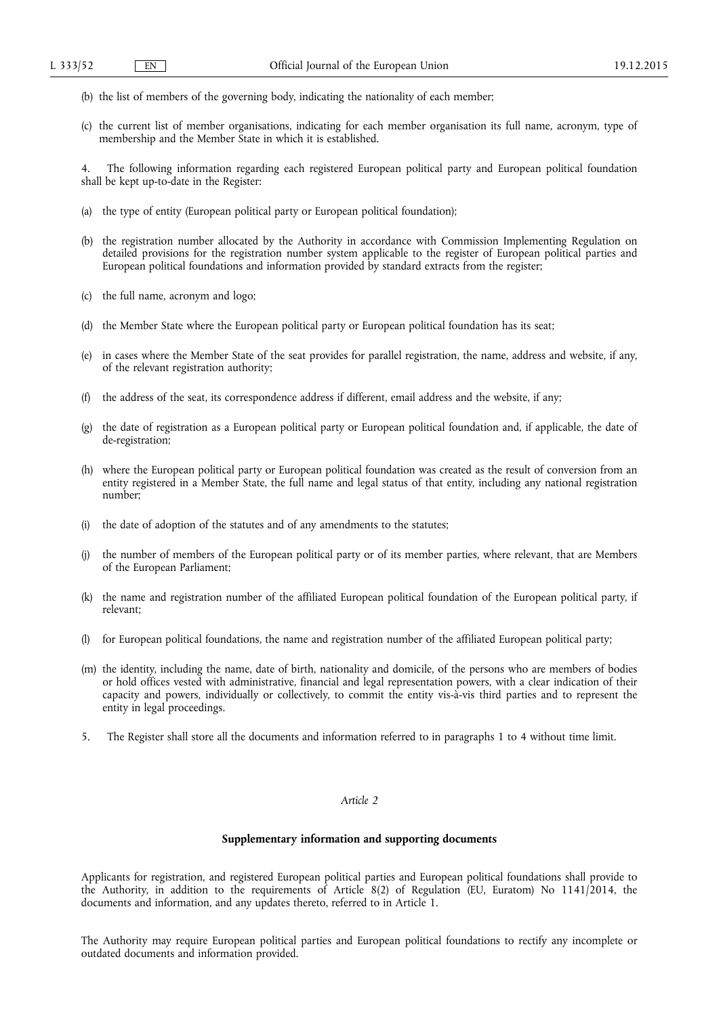- (b) the list of members of the governing body, indicating the nationality of each member;
- (c) the current list of member organisations, indicating for each member organisation its full name, acronym, type of membership and the Member State in which it is established.

4. The following information regarding each registered European political party and European political foundation shall be kept up-to-date in the Register:

- (a) the type of entity (European political party or European political foundation);
- (b) the registration number allocated by the Authority in accordance with Commission Implementing Regulation on detailed provisions for the registration number system applicable to the register of European political parties and European political foundations and information provided by standard extracts from the register;
- (c) the full name, acronym and logo;
- (d) the Member State where the European political party or European political foundation has its seat;
- (e) in cases where the Member State of the seat provides for parallel registration, the name, address and website, if any, of the relevant registration authority;
- (f) the address of the seat, its correspondence address if different, email address and the website, if any;
- (g) the date of registration as a European political party or European political foundation and, if applicable, the date of de-registration;
- (h) where the European political party or European political foundation was created as the result of conversion from an entity registered in a Member State, the full name and legal status of that entity, including any national registration number;
- (i) the date of adoption of the statutes and of any amendments to the statutes;
- (j) the number of members of the European political party or of its member parties, where relevant, that are Members of the European Parliament;
- (k) the name and registration number of the affiliated European political foundation of the European political party, if relevant;
- for European political foundations, the name and registration number of the affiliated European political party;
- (m) the identity, including the name, date of birth, nationality and domicile, of the persons who are members of bodies or hold offices vested with administrative, financial and legal representation powers, with a clear indication of their capacity and powers, individually or collectively, to commit the entity vis-à-vis third parties and to represent the entity in legal proceedings.
- 5. The Register shall store all the documents and information referred to in paragraphs 1 to 4 without time limit.

## *Article 2*

## **Supplementary information and supporting documents**

Applicants for registration, and registered European political parties and European political foundations shall provide to the Authority, in addition to the requirements of Article 8(2) of Regulation (EU, Euratom) No 1141/2014, the documents and information, and any updates thereto, referred to in Article 1.

The Authority may require European political parties and European political foundations to rectify any incomplete or outdated documents and information provided.